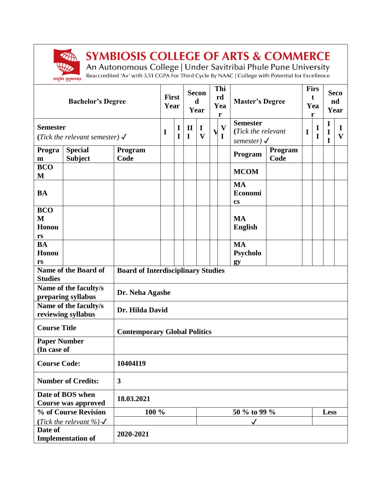

## **SYMBIOSIS COLLEGE OF ARTS & COMMERCE**

An Autonomous College | Under Savitribai Phule Pune University<br>Reaccredited 'A+' with 3.51 CGPA For Third Cycle By NAAC | College with Potential for Excellence

| <b>Bachelor's Degree</b>                                    |                                  |                                           | First<br>Year |                  | <b>Secon</b><br>$\mathbf d$<br>Year |                                        | Thi<br>rd<br>Yea<br>r |                                             | <b>Master's Degree</b>                                     |                 | <b>Firs</b><br>t<br>Yea<br>r |             | <b>Seco</b><br>nd<br>Year                 |                   |
|-------------------------------------------------------------|----------------------------------|-------------------------------------------|---------------|------------------|-------------------------------------|----------------------------------------|-----------------------|---------------------------------------------|------------------------------------------------------------|-----------------|------------------------------|-------------|-------------------------------------------|-------------------|
| <b>Semester</b><br>(Tick the relevant semester) $\sqrt{\ }$ |                                  |                                           | 1             | I<br>$\mathbf I$ | $\mathbf{I}$<br>$\mathbf I$         | $\mathbf I$<br>$\overline{\mathbf{V}}$ |                       | $\overline{\mathbf{V}}$<br>V<br>$\mathbf I$ | <b>Semester</b><br>(Tick the relevant<br>semester) $\sqrt$ |                 | I                            | 1<br>I      | $\mathbf I$<br>$\mathbf I$<br>$\mathbf I$ | I<br>$\mathbf{V}$ |
| Progra<br>${\bf m}$                                         | <b>Special</b><br><b>Subject</b> | Program<br>Code                           |               |                  |                                     |                                        |                       |                                             | Program                                                    | Program<br>Code |                              |             |                                           |                   |
| <b>BCO</b><br>M                                             |                                  |                                           |               |                  |                                     |                                        |                       |                                             | <b>MCOM</b>                                                |                 |                              |             |                                           |                   |
| <b>BA</b>                                                   |                                  |                                           |               |                  |                                     |                                        |                       |                                             | <b>MA</b><br>Economi<br><b>CS</b>                          |                 |                              |             |                                           |                   |
| <b>BCO</b><br>M<br>Honou<br>rs                              |                                  |                                           |               |                  |                                     |                                        |                       |                                             | <b>MA</b><br><b>English</b>                                |                 |                              |             |                                           |                   |
| <b>BA</b><br>Honou<br>rs                                    |                                  |                                           |               |                  |                                     |                                        |                       |                                             | <b>MA</b><br>Psycholo<br>gy                                |                 |                              |             |                                           |                   |
| Name of the Board of<br><b>Studies</b>                      |                                  | <b>Board of Interdisciplinary Studies</b> |               |                  |                                     |                                        |                       |                                             |                                                            |                 |                              |             |                                           |                   |
| Name of the faculty/s<br>preparing syllabus                 |                                  | Dr. Neha Agashe                           |               |                  |                                     |                                        |                       |                                             |                                                            |                 |                              |             |                                           |                   |
| Name of the faculty/s<br>reviewing syllabus                 |                                  | Dr. Hilda David                           |               |                  |                                     |                                        |                       |                                             |                                                            |                 |                              |             |                                           |                   |
| <b>Course Title</b>                                         |                                  | <b>Contemporary Global Politics</b>       |               |                  |                                     |                                        |                       |                                             |                                                            |                 |                              |             |                                           |                   |
| <b>Paper Number</b><br>(In case of                          |                                  |                                           |               |                  |                                     |                                        |                       |                                             |                                                            |                 |                              |             |                                           |                   |
| <b>Course Code:</b>                                         |                                  | 10404I19                                  |               |                  |                                     |                                        |                       |                                             |                                                            |                 |                              |             |                                           |                   |
| 3<br><b>Number of Credits:</b>                              |                                  |                                           |               |                  |                                     |                                        |                       |                                             |                                                            |                 |                              |             |                                           |                   |
| Date of BOS when<br><b>Course was approved</b>              |                                  | 18.03.2021                                |               |                  |                                     |                                        |                       |                                             |                                                            |                 |                              |             |                                           |                   |
| % of Course Revision<br>100 %                               |                                  |                                           |               |                  |                                     |                                        |                       | 50 % to 99 %                                |                                                            |                 |                              | <b>Less</b> |                                           |                   |
| (Tick the relevant %) $\checkmark$                          |                                  |                                           |               |                  |                                     |                                        |                       | $\checkmark$                                |                                                            |                 |                              |             |                                           |                   |
| Date of<br><b>Implementation of</b>                         |                                  | 2020-2021                                 |               |                  |                                     |                                        |                       |                                             |                                                            |                 |                              |             |                                           |                   |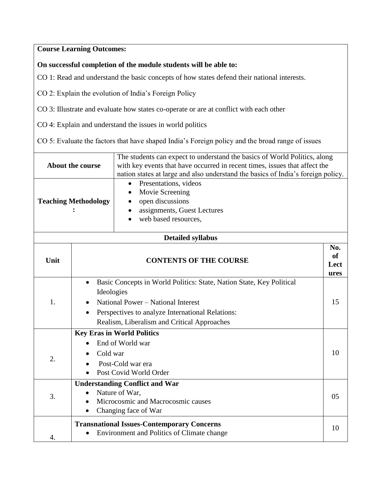## **Course Learning Outcomes:**

## **On successful completion of the module students will be able to:**

CO 1: Read and understand the basic concepts of how states defend their national interests.

CO 2: Explain the evolution of India's Foreign Policy

CO 3: Illustrate and evaluate how states co-operate or are at conflict with each other

CO 4: Explain and understand the issues in world politics

CO 5: Evaluate the factors that have shaped India's Foreign policy and the broad range of issues

| <b>About the course</b>     |                                                                                                                                                                                                                             | The students can expect to understand the basics of World Politics, along<br>with key events that have occurred in recent times, issues that affect the<br>nation states at large and also understand the basics of India's foreign policy. |    |  |  |  |  |
|-----------------------------|-----------------------------------------------------------------------------------------------------------------------------------------------------------------------------------------------------------------------------|---------------------------------------------------------------------------------------------------------------------------------------------------------------------------------------------------------------------------------------------|----|--|--|--|--|
| <b>Teaching Methodology</b> |                                                                                                                                                                                                                             | Presentations, videos<br>Movie Screening<br>open discussions<br>assignments, Guest Lectures<br>web based resources,                                                                                                                         |    |  |  |  |  |
| <b>Detailed syllabus</b>    |                                                                                                                                                                                                                             |                                                                                                                                                                                                                                             |    |  |  |  |  |
| Unit                        |                                                                                                                                                                                                                             | <b>CONTENTS OF THE COURSE</b><br>Lect                                                                                                                                                                                                       |    |  |  |  |  |
| 1.                          | Basic Concepts in World Politics: State, Nation State, Key Political<br>Ideologies<br>National Power - National Interest<br>Perspectives to analyze International Relations:<br>Realism, Liberalism and Critical Approaches |                                                                                                                                                                                                                                             |    |  |  |  |  |
| 2.                          | <b>Key Eras in World Politics</b><br>End of World war<br>Cold war<br>Post-Cold war era<br>Post Covid World Order                                                                                                            |                                                                                                                                                                                                                                             |    |  |  |  |  |
| 3.                          | <b>Understanding Conflict and War</b><br>Nature of War,<br>Microcosmic and Macrocosmic causes<br>Changing face of War                                                                                                       |                                                                                                                                                                                                                                             |    |  |  |  |  |
| 4.                          |                                                                                                                                                                                                                             | <b>Transnational Issues-Contemporary Concerns</b><br>Environment and Politics of Climate change                                                                                                                                             | 10 |  |  |  |  |